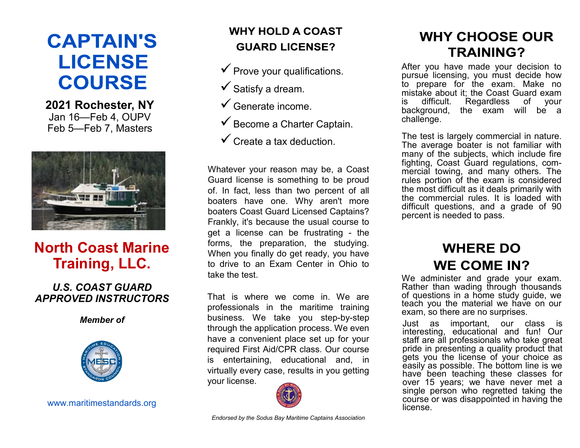# **CAPTAIN'S LICENSE COURSE**

**2021 Rochester, NY** Jan 16—Feb 4, OUPV Feb 5—Feb 7, Masters



# **North Coast Marine Training, LLC.**

### *U.S. COAST GUARD APPROVED INSTRUCTORS*

*Member of*



www.maritimestandards.org

# **WHY HOLD A COAST GUARD LICENSE?**

- $\checkmark$  Prove your qualifications.
- $\checkmark$  Satisfy a dream.
- ✓Generate income.
- $\checkmark$  Become a Charter Captain.
- $\checkmark$  Create a tax deduction.

Whatever your reason may be, a Coast Guard license is something to be proud of. In fact, less than two percent of all boaters have one. Why aren't more boaters Coast Guard Licensed Captains? Frankly, it's because the usual course to get a license can be frustrating - the forms, the preparation, the studying. When you finally do get ready, you have to drive to an Exam Center in Ohio to take the test.

That is where we come in. We are professionals in the maritime training business. We take you step-by-step through the application process. We even have a convenient place set up for your required First Aid/CPR class. Our course is entertaining, educational and, in virtually every case, results in you getting your license.



# **WHY CHOOSE OUR TRAINING?**

After you have made your decision to pursue licensing, you must decide how to prepare for the exam. Make no mistake about it; the Coast Guard exam is difficult. Regardless of your background, the exam will be a challenge.

The test is largely commercial in nature. The average boater is not familiar with many of the subjects, which include fire fighting, Coast Guard regulations, commercial towing, and many others. The rules portion of the exam is considered the most difficult as it deals primarily with the commercial rules. It is loaded with difficult questions, and a grade of 90 percent is needed to pass.

# **WHERE DO WE COME IN?**

We administer and grade your exam. Rather than wading through thousands of questions in a home study guide, we teach you the material we have on our exam, so there are no surprises.

Just as important, our class is interesting, educational and fun! Our staff are all professionals who take great pride in presenting a quality product that gets you the license of your choice as easily as possible. The bottom line is we have been teaching these classes for over 15 years; we have never met a single person who regretted taking the course or was disappointed in having the license.